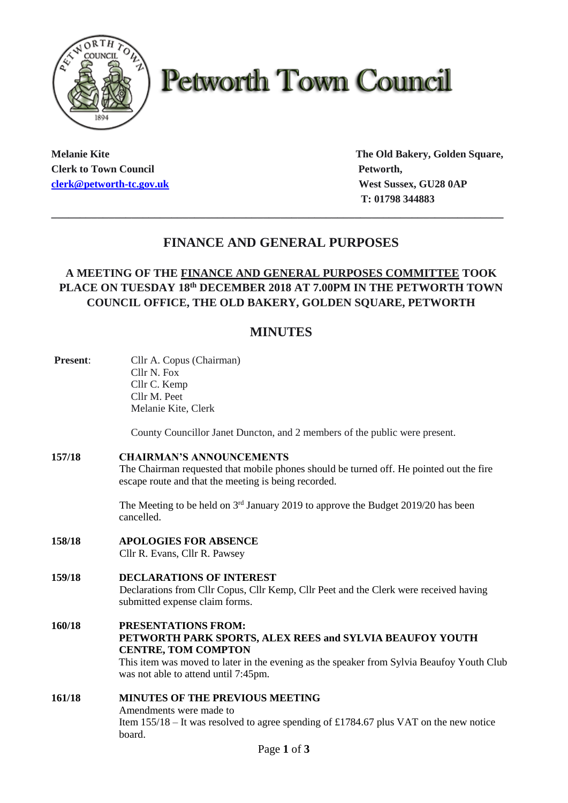

# **Petworth Town Council**

**Clerk to Town Council Petworth, Petworth, [clerk@petworth-tc.gov.uk](mailto:clerk@petworth-tc.gov.uk) West Sussex, GU28 0AP**

**Melanie Kite The Old Bakery, Golden Square, T: 01798 344883**

# **FINANCE AND GENERAL PURPOSES**

**\_\_\_\_\_\_\_\_\_\_\_\_\_\_\_\_\_\_\_\_\_\_\_\_\_\_\_\_\_\_\_\_\_\_\_\_\_\_\_\_\_\_\_\_\_\_\_\_\_\_\_\_\_\_\_\_\_\_\_\_\_\_\_\_\_\_\_\_\_\_\_\_\_\_\_\_\_\_\_**

# **A MEETING OF THE FINANCE AND GENERAL PURPOSES COMMITTEE TOOK PLACE ON TUESDAY 18 th DECEMBER 2018 AT 7.00PM IN THE PETWORTH TOWN COUNCIL OFFICE, THE OLD BAKERY, GOLDEN SQUARE, PETWORTH**

# **MINUTES**

| Present: | Cllr A. Copus (Chairman)<br>Cllr N. Fox                                                                                                                                                                                                            |
|----------|----------------------------------------------------------------------------------------------------------------------------------------------------------------------------------------------------------------------------------------------------|
|          | Cllr C. Kemp                                                                                                                                                                                                                                       |
|          | Cllr M. Peet                                                                                                                                                                                                                                       |
|          | Melanie Kite, Clerk                                                                                                                                                                                                                                |
|          | County Councillor Janet Duncton, and 2 members of the public were present.                                                                                                                                                                         |
| 157/18   | <b>CHAIRMAN'S ANNOUNCEMENTS</b><br>The Chairman requested that mobile phones should be turned off. He pointed out the fire<br>escape route and that the meeting is being recorded.                                                                 |
|          | The Meeting to be held on 3 <sup>rd</sup> January 2019 to approve the Budget 2019/20 has been<br>cancelled.                                                                                                                                        |
| 158/18   | <b>APOLOGIES FOR ABSENCE</b><br>Cllr R. Evans, Cllr R. Pawsey                                                                                                                                                                                      |
| 159/18   | <b>DECLARATIONS OF INTEREST</b><br>Declarations from Cllr Copus, Cllr Kemp, Cllr Peet and the Clerk were received having<br>submitted expense claim forms.                                                                                         |
| 160/18   | PRESENTATIONS FROM:<br>PETWORTH PARK SPORTS, ALEX REES and SYLVIA BEAUFOY YOUTH<br><b>CENTRE, TOM COMPTON</b><br>This item was moved to later in the evening as the speaker from Sylvia Beaufoy Youth Club<br>was not able to attend until 7:45pm. |
| 161/18   | MINUTES OF THE PREVIOUS MEETING<br>Amendments were made to<br>Item $155/18$ – It was resolved to agree spending of £1784.67 plus VAT on the new notice<br>board.                                                                                   |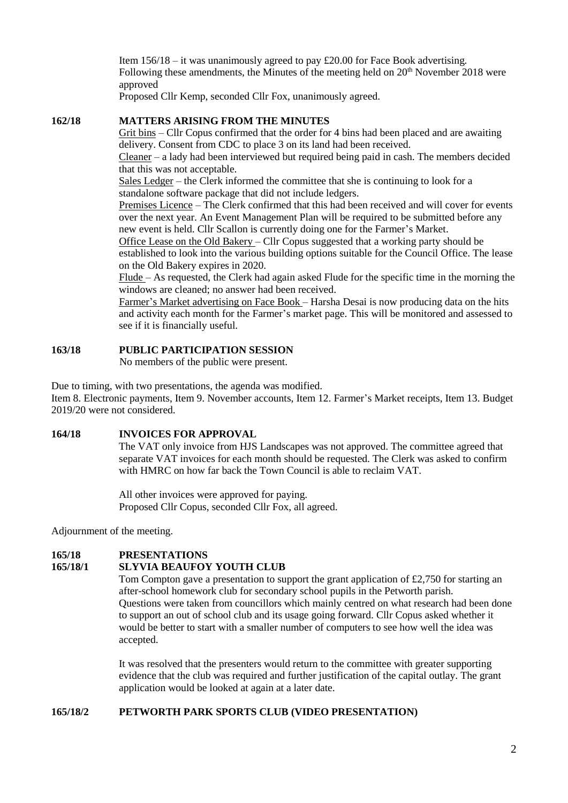Item  $156/18 -$ it was unanimously agreed to pay £20.00 for Face Book advertising. Following these amendments, the Minutes of the meeting held on  $20<sup>th</sup>$  November 2018 were approved

Proposed Cllr Kemp, seconded Cllr Fox, unanimously agreed.

### **162/18 MATTERS ARISING FROM THE MINUTES**

Grit bins – Cllr Copus confirmed that the order for 4 bins had been placed and are awaiting delivery. Consent from CDC to place 3 on its land had been received.

Cleaner – a lady had been interviewed but required being paid in cash. The members decided that this was not acceptable.

Sales Ledger – the Clerk informed the committee that she is continuing to look for a standalone software package that did not include ledgers.

Premises Licence – The Clerk confirmed that this had been received and will cover for events over the next year. An Event Management Plan will be required to be submitted before any new event is held. Cllr Scallon is currently doing one for the Farmer's Market.

Office Lease on the Old Bakery – Cllr Copus suggested that a working party should be established to look into the various building options suitable for the Council Office. The lease on the Old Bakery expires in 2020.

Flude – As requested, the Clerk had again asked Flude for the specific time in the morning the windows are cleaned; no answer had been received.

Farmer's Market advertising on Face Book – Harsha Desai is now producing data on the hits and activity each month for the Farmer's market page. This will be monitored and assessed to see if it is financially useful.

# **163/18 PUBLIC PARTICIPATION SESSION**

No members of the public were present.

Due to timing, with two presentations, the agenda was modified.

Item 8. Electronic payments, Item 9. November accounts, Item 12. Farmer's Market receipts, Item 13. Budget 2019/20 were not considered.

### **164/18 INVOICES FOR APPROVAL**

The VAT only invoice from HJS Landscapes was not approved. The committee agreed that separate VAT invoices for each month should be requested. The Clerk was asked to confirm with HMRC on how far back the Town Council is able to reclaim VAT.

All other invoices were approved for paying. Proposed Cllr Copus, seconded Cllr Fox, all agreed.

Adjournment of the meeting.

# **165/18 PRESENTATIONS**

# **165/18/1 SLYVIA BEAUFOY YOUTH CLUB**

Tom Compton gave a presentation to support the grant application of £2,750 for starting an after-school homework club for secondary school pupils in the Petworth parish. Questions were taken from councillors which mainly centred on what research had been done to support an out of school club and its usage going forward. Cllr Copus asked whether it would be better to start with a smaller number of computers to see how well the idea was accepted.

It was resolved that the presenters would return to the committee with greater supporting evidence that the club was required and further justification of the capital outlay. The grant application would be looked at again at a later date.

#### **165/18/2 PETWORTH PARK SPORTS CLUB (VIDEO PRESENTATION)**